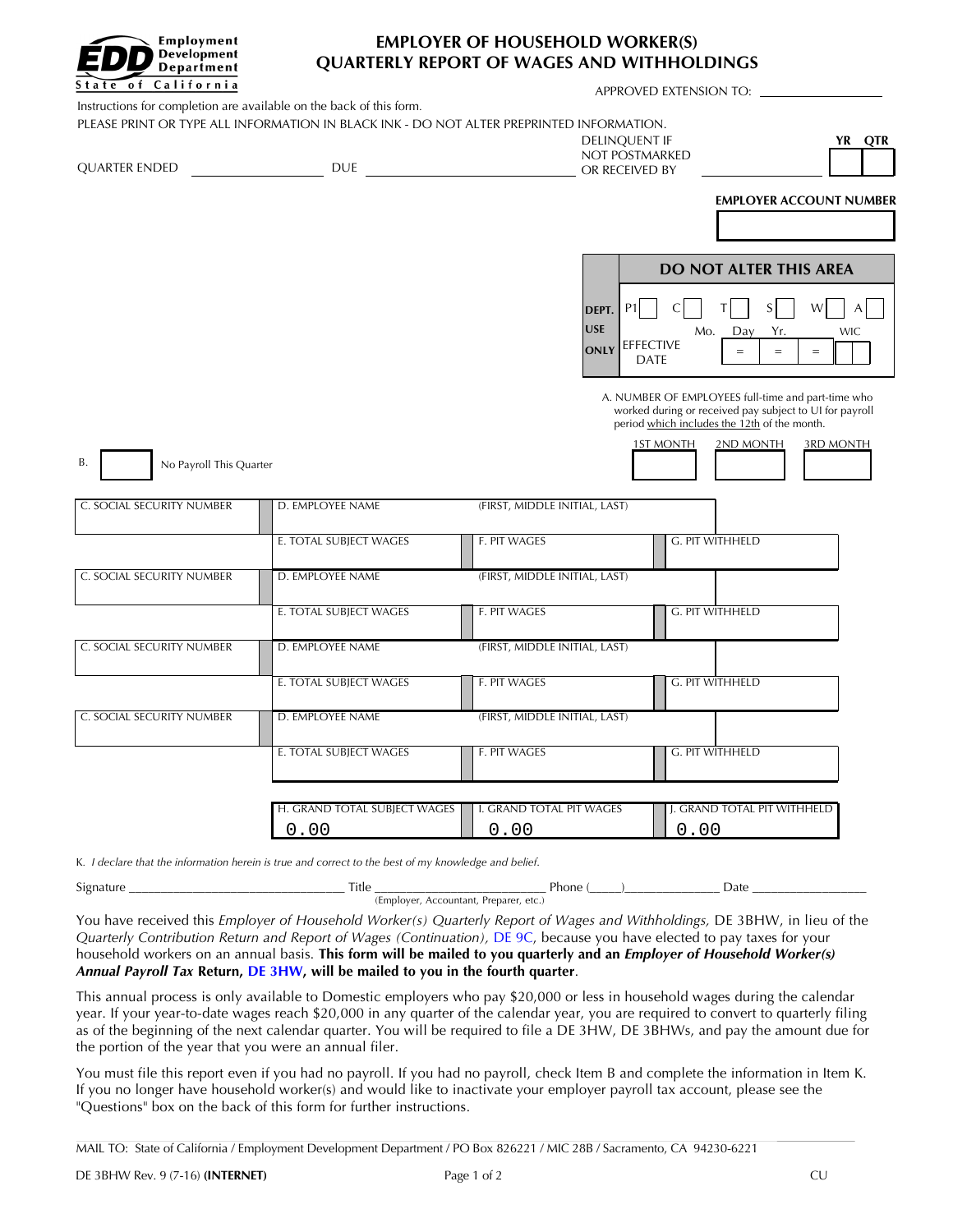

## **EMPLOYER OF HOUSEHOLD WORKER(S) QUARTERLY REPORT OF WAGES AND WITHHOLDINGS**

APPROVED EXTENSION TO:

OR RECEIVED BY

Instructions for completion are available on the back of this form. PLEASE PRINT OR TYPE ALL INFORMATION IN BLACK INK - DO NOT ALTER PREPRINTED INFORMATION. NOT POSTMARKED **DELINOUENT IF** 

| . .<br>. | ь |
|----------|---|
|          |   |

**EMPLOYER ACCOUNT NUMBER**

|                     |                          | <b>DO NOT ALTER THIS AREA</b> |          |          |     |            |
|---------------------|--------------------------|-------------------------------|----------|----------|-----|------------|
| DEPT.<br><b>USE</b> |                          | C <br>Mo.                     | T<br>Day | S<br>Yr. | W I | <b>WIC</b> |
| ONLY                | EFFECTIVE<br><b>DATE</b> |                               |          |          |     |            |

A. NUMBER OF EMPLOYEES full-time and part-time who worked during or received pay subject to UI for payroll period which includes the 12th of the month.

ST MONTH 2ND MONTH 3RD MONTH

B. No Payroll This Quarter

QUARTER ENDED DUE

| C. SOCIAL SECURITY NUMBER | D. EMPLOYEE NAME                     | (FIRST, MIDDLE INITIAL, LAST)    |                                     |
|---------------------------|--------------------------------------|----------------------------------|-------------------------------------|
|                           | E. TOTAL SUBJECT WAGES               | F. PIT WAGES                     | G. PIT WITHHELD                     |
| C. SOCIAL SECURITY NUMBER | D. EMPLOYEE NAME                     | (FIRST, MIDDLE INITIAL, LAST)    |                                     |
|                           | E. TOTAL SUBJECT WAGES               | F. PIT WAGES                     | G. PIT WITHHELD                     |
| C. SOCIAL SECURITY NUMBER | D. EMPLOYEE NAME                     | (FIRST, MIDDLE INITIAL, LAST)    |                                     |
|                           | E. TOTAL SUBJECT WAGES               | F. PIT WAGES                     | G. PIT WITHHELD                     |
| C. SOCIAL SECURITY NUMBER | D. EMPLOYEE NAME                     | (FIRST, MIDDLE INITIAL, LAST)    |                                     |
|                           | E. TOTAL SUBJECT WAGES               | F. PIT WAGES                     | G. PIT WITHHELD                     |
|                           |                                      |                                  |                                     |
|                           | H. GRAND TOTAL SUBJECT WAGES<br>0.00 | I. GRAND TOTAL PIT WAGES<br>0.00 | J. GRAND TOTAL PIT WITHHELD<br>0.00 |

K*. I declare that the information herein is true and correct to the best of my knowledge and belief*.

| $\sim$ $\sim$<br>Signature<br>_____              | $-\mathbf{r}$<br>ı itle | Phone |  | Date |  |
|--------------------------------------------------|-------------------------|-------|--|------|--|
| Accountant.<br>, Employer,<br>. Preparer<br>etc. |                         |       |  |      |  |

You have received this *Employer of Household Worker(s) Quarterly Report of Wages and Withholdings,* DE 3BHW, in lieu of the *Quarterly Contribution Return and Report of Wages (Continuation),* DE [9C,](http://www.edd.ca.gov/pdf_pub_ctr/de9c.pdf) because you have elected to pay taxes for your household workers on an annual basis. **This form will be mailed to you quarterly and an** *Employer of Household Worker(s) Annual Payroll Tax* **Return, DE [3HW,](http://www.edd.ca.gov/pdf_pub_ctr/de3hw.pdf) will be mailed to you in the fourth quarter**.

This annual process is only available to Domestic employers who pay \$20,000 or less in household wages during the calendar year. If your year-to-date wages reach \$20,000 in any quarter of the calendar year, you are required to convert to quarterly filing as of the beginning of the next calendar quarter. You will be required to file a DE 3HW, DE 3BHWs, and pay the amount due for the portion of the year that you were an annual filer.

You must file this report even if you had no payroll. If you had no payroll, check Item B and complete the information in Item K. If you no longer have household worker(s) and would like to inactivate your employer payroll tax account, please see the "Questions" box on the back of this form for further instructions.